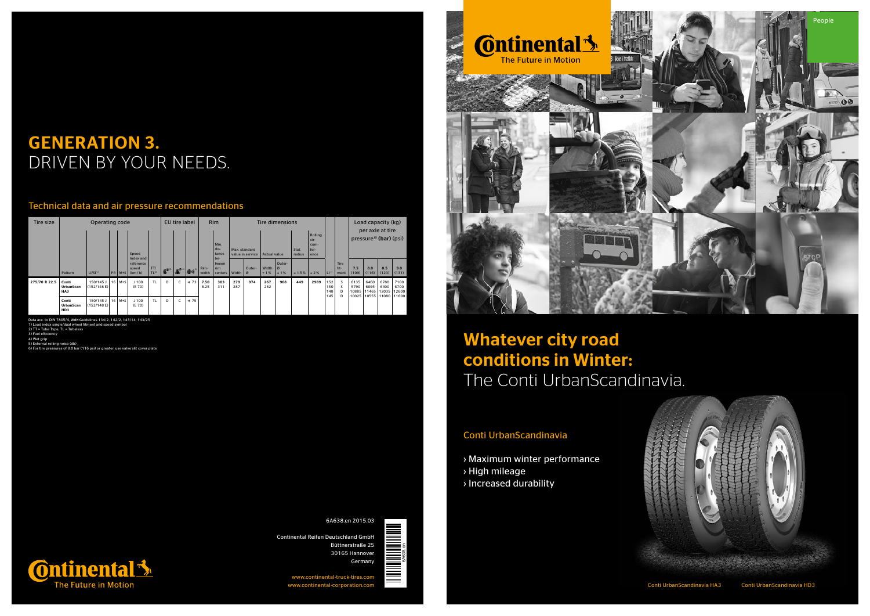# Whatever city road conditions in Winter: The Conti UrbanScandinavia.

## GENERATION 3. DRIVEN BY YOUR NEEDS.

## Conti UrbanScandinavia

- › Maximum winter performance
- › High mileage
- › Increased durability





6A638.en

<u>s an am an am an am an am an am an am an am an am an am an am an am an am an am an am an am an am an am an am </u>



Continental Reifen Deutschland GmbH Büttnerstraße 25 30165 Hannover Germany



| Tire size     |                                              | Operating code          |          | Speed<br>Index and                        |                 |            | <b>EU tire label</b> |              |               | <b>Rim</b><br>Min.<br>dis-<br>tance<br>be- | Max. standard<br>value in service |                          | Tire dimensions<br>Rolling<br>cir-<br>cum-<br>fer-<br>Stat.<br>radius<br><b>Actual value</b><br>ence |                    |        |      |                   |                      |                       | Load capacity (kg)<br>per axle at tire<br>$presure6)$ (bar) (psi) |                       |                       |
|---------------|----------------------------------------------|-------------------------|----------|-------------------------------------------|-----------------|------------|----------------------|--------------|---------------|--------------------------------------------|-----------------------------------|--------------------------|------------------------------------------------------------------------------------------------------|--------------------|--------|------|-------------------|----------------------|-----------------------|-------------------------------------------------------------------|-----------------------|-----------------------|
|               | Pattern                                      | LI/SI <sup>1</sup>      |          | reference<br>speed<br>$PR$ $M+S$ $(km/h)$ | TT/<br>$TL^{2}$ | <b>四日3</b> | A                    | (0)          | Rim-<br>width | tween<br>rim<br>centers                    | Width                             | Outer-<br>$\overline{a}$ | Width<br>$+1%$                                                                                       | Outer-<br>Ø<br>±1% | ± 1.5% | ±2%  | LP <sup>0</sup>   | Tire<br>fit-<br>ment | 7.5<br>(109)          | 8.0<br>(116)                                                      | 8.5<br>(123)          | 9.0<br>(131)          |
| 275/70 R 22.5 | Conti<br><b>UrbanScan</b><br>HA3             | 150/145 J<br>(152/148E) | $16$ M+S | J100<br>(E 70)                            | TL.             | D          |                      | $0\sqrt{73}$ | 7.50<br>8.25  | 303<br>311                                 | 279<br>287                        | 974                      | 267<br>282                                                                                           | 968                | 449    | 2989 | 152<br>150<br>148 | S<br>s<br>D          | 6135<br>5790<br>10885 | 6460<br>6095<br>11465                                             | 6780<br>6400<br>12035 | 7100<br>6700<br>12600 |
|               | Conti<br><b>UrbanScan</b><br>HD <sub>3</sub> | 150/145 J<br>(152/148E) | 16   M+S | J100<br>(E 70)                            | TL.             | D          |                      | 0) 75        |               |                                            |                                   |                          |                                                                                                      |                    |        |      | 145               | D                    | 10025                 | 10555                                                             | 11080                 | 11600                 |

Data acc. to DIN 7805/4, WdK-Guidelines 134/2, 142/2, 143/14, 143/25

1) Load index single/dual wheel fitment and speed symb  $2)$  TT = Tube Type, TL = Tul

3) Fuel efficiency

4) Wet grip

5) External rolling noise (db) 6) For tire pressures of 8.0 bar (116 psi) or greater, use valve slit cover plate

## Technical data and air pressure recommendations